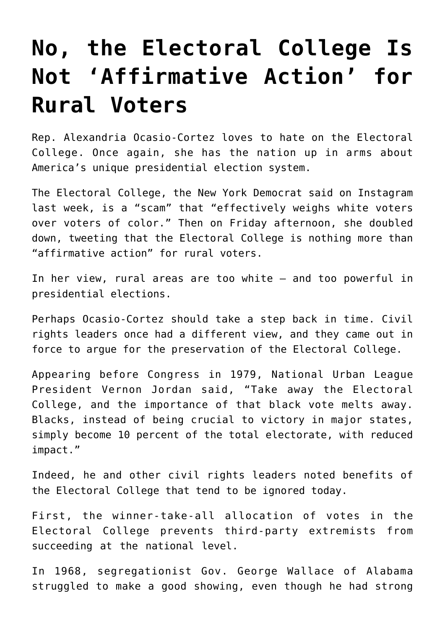## **[No, the Electoral College Is](https://intellectualtakeout.org/2019/08/no-the-electoral-college-is-not-affirmative-action-for-rural-voters/) [Not 'Affirmative Action' for](https://intellectualtakeout.org/2019/08/no-the-electoral-college-is-not-affirmative-action-for-rural-voters/) [Rural Voters](https://intellectualtakeout.org/2019/08/no-the-electoral-college-is-not-affirmative-action-for-rural-voters/)**

Rep. Alexandria Ocasio-Cortez loves to hate on the Electoral College. Once again, she has the nation up in arms about America's unique presidential election system.

The Electoral College, the New York Democrat said on Instagram last week, is a "scam" that "effectively weighs white voters over voters of color." Then on Friday afternoon, she doubled down, tweeting that the Electoral College is nothing more than "affirmative action" for rural voters.

In her view, rural areas are too white – and too powerful in presidential elections.

Perhaps Ocasio-Cortez should take a step back in time. Civil rights leaders once had a different view, and they came out in force to argue for the preservation of the Electoral College.

Appearing before Congress in 1979, National Urban League President Vernon Jordan said, "Take away the Electoral College, and the importance of that black vote melts away. Blacks, instead of being crucial to victory in major states, simply become 10 percent of the total electorate, with reduced impact."

Indeed, he and other civil rights leaders noted benefits of the Electoral College that tend to be ignored today.

First, the winner-take-all allocation of votes in the Electoral College prevents third-party extremists from succeeding at the national level.

In 1968, segregationist Gov. George Wallace of Alabama struggled to make a good showing, even though he had strong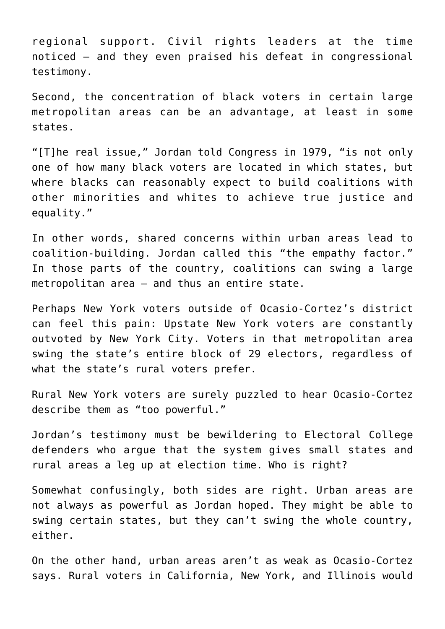regional support. Civil rights leaders at the time noticed – and they even praised his defeat in congressional testimony.

Second, the concentration of black voters in certain large metropolitan areas can be an advantage, at least in some states.

"[T]he real issue," Jordan told Congress in 1979, "is not only one of how many black voters are located in which states, but where blacks can reasonably expect to build coalitions with other minorities and whites to achieve true justice and equality."

In other words, shared concerns within urban areas lead to coalition-building. Jordan called this "the empathy factor." In those parts of the country, coalitions can swing a large metropolitan area – and thus an entire state.

Perhaps New York voters outside of Ocasio-Cortez's district can feel this pain: Upstate New York voters are constantly outvoted by New York City. Voters in that metropolitan area swing the state's entire block of 29 electors, regardless of what the state's rural voters prefer.

Rural New York voters are surely puzzled to hear Ocasio-Cortez describe them as "too powerful."

Jordan's testimony must be bewildering to Electoral College defenders who argue that the system gives small states and rural areas a leg up at election time. Who is right?

Somewhat confusingly, both sides are right. Urban areas are not always as powerful as Jordan hoped. They might be able to swing certain states, but they can't swing the whole country, either.

On the other hand, urban areas aren't as weak as Ocasio-Cortez says. Rural voters in California, New York, and Illinois would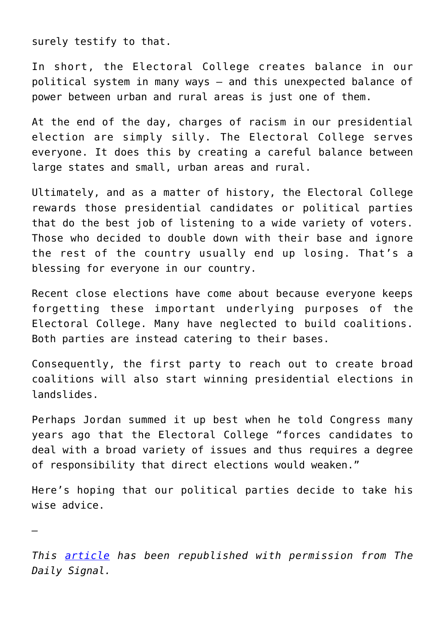surely testify to that.

*—*

In short, the Electoral College creates balance in our political system in many ways – and this unexpected balance of power between urban and rural areas is just one of them.

At the end of the day, charges of racism in our presidential election are simply silly. The Electoral College serves everyone. It does this by creating a careful balance between large states and small, urban areas and rural.

Ultimately, and as a matter of history, the Electoral College rewards those presidential candidates or political parties that do the best job of listening to a wide variety of voters. Those who decided to double down with their base and ignore the rest of the country usually end up losing. That's a blessing for everyone in our country.

Recent close elections have come about because everyone keeps forgetting these important underlying purposes of the Electoral College. Many have neglected to build coalitions. Both parties are instead catering to their bases.

Consequently, the first party to reach out to create broad coalitions will also start winning presidential elections in landslides.

Perhaps Jordan summed it up best when he told Congress many years ago that the Electoral College "forces candidates to deal with a broad variety of issues and thus requires a degree of responsibility that direct elections would weaken."

Here's hoping that our political parties decide to take his wise advice.

*This [article](https://www.dailysignal.com/2019/08/27/no-the-electoral-college-is-not-affirmative-action-for-rural-voters/) has been republished with permission from The Daily Signal.*